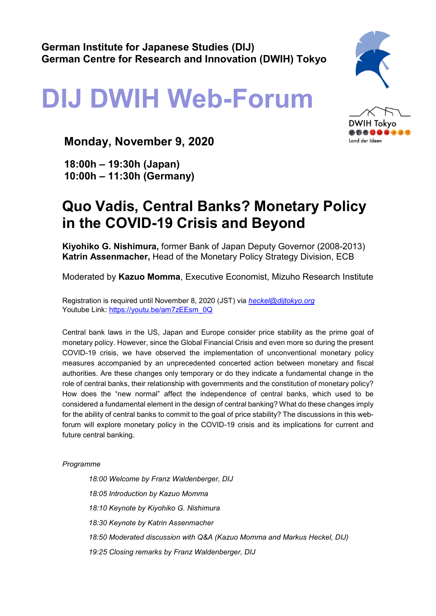## **DIJ DWIH Web-Forum**

## **Monday, November 9, 2020**

**18:00h – 19:30h (Japan) 10:00h – 11:30h (Germany)**

## **Quo Vadis, Central Banks? Monetary Policy in the COVID-19 Crisis and Beyond**

**Kiyohiko G. Nishimura,** former Bank of Japan Deputy Governor (2008-2013) **Katrin Assenmacher,** Head of the Monetary Policy Strategy Division, ECB

Moderated by **Kazuo Momma**, Executive Economist, Mizuho Research Institute

Registration is required until November 8, 2020 (JST) via *[heckel@dijtokyo.org](mailto:heckel@dijtokyo.org)* Youtube Link: [https://youtu.be/am7zEEsm\\_0Q](https://youtu.be/am7zEEsm_0Q)

Central bank laws in the US, Japan and Europe consider price stability as the prime goal of monetary policy. However, since the Global Financial Crisis and even more so during the present COVID-19 crisis, we have observed the implementation of unconventional monetary policy measures accompanied by an unprecedented concerted action between monetary and fiscal authorities. Are these changes only temporary or do they indicate a fundamental change in the role of central banks, their relationship with governments and the constitution of monetary policy? How does the "new normal" affect the independence of central banks, which used to be considered a fundamental element in the design of central banking? What do these changes imply for the ability of central banks to commit to the goal of price stability? The discussions in this webforum will explore monetary policy in the COVID-19 crisis and its implications for current and future central banking.

*Programme*

*18:00 Welcome by Franz Waldenberger, DIJ 18:05 Introduction by Kazuo Momma 18:10 Keynote by Kiyohiko G. Nishimura 18:30 Keynote by Katrin Assenmacher 18:50 Moderated discussion with Q&A (Kazuo Momma and Markus Heckel, DIJ) 19:25 Closing remarks by Franz Waldenberger, DIJ*